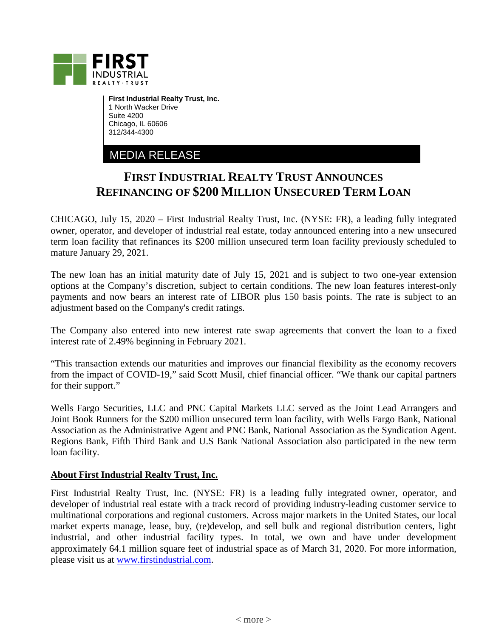

**First Industrial Realty Trust, Inc.** 1 North Wacker Drive Suite 4200 Chicago, IL 60606 312/344-4300

MEDIA RELEASE

## **FIRST INDUSTRIAL REALTY TRUST ANNOUNCES REFINANCING OF \$200 MILLION UNSECURED TERM LOAN**

CHICAGO, July 15, 2020 – First Industrial Realty Trust, Inc. (NYSE: FR), a leading fully integrated owner, operator, and developer of industrial real estate, today announced entering into a new unsecured term loan facility that refinances its \$200 million unsecured term loan facility previously scheduled to mature January 29, 2021.

The new loan has an initial maturity date of July 15, 2021 and is subject to two one-year extension options at the Company's discretion, subject to certain conditions. The new loan features interest-only payments and now bears an interest rate of LIBOR plus 150 basis points. The rate is subject to an adjustment based on the Company's credit ratings.

The Company also entered into new interest rate swap agreements that convert the loan to a fixed interest rate of 2.49% beginning in February 2021.

"This transaction extends our maturities and improves our financial flexibility as the economy recovers from the impact of COVID-19," said Scott Musil, chief financial officer. "We thank our capital partners for their support."

Wells Fargo Securities, LLC and PNC Capital Markets LLC served as the Joint Lead Arrangers and Joint Book Runners for the \$200 million unsecured term loan facility, with Wells Fargo Bank, National Association as the Administrative Agent and PNC Bank, National Association as the Syndication Agent. Regions Bank, Fifth Third Bank and U.S Bank National Association also participated in the new term loan facility.

## **About First Industrial Realty Trust, Inc.**

First Industrial Realty Trust, Inc. (NYSE: FR) is a leading fully integrated owner, operator, and developer of industrial real estate with a track record of providing industry-leading customer service to multinational corporations and regional customers. Across major markets in the United States, our local market experts manage, lease, buy, (re)develop, and sell bulk and regional distribution centers, light industrial, and other industrial facility types. In total, we own and have under development approximately 64.1 million square feet of industrial space as of March 31, 2020. For more information, please visit us at [www.firstindustrial.com.](http://www.firstindustrial.com/)